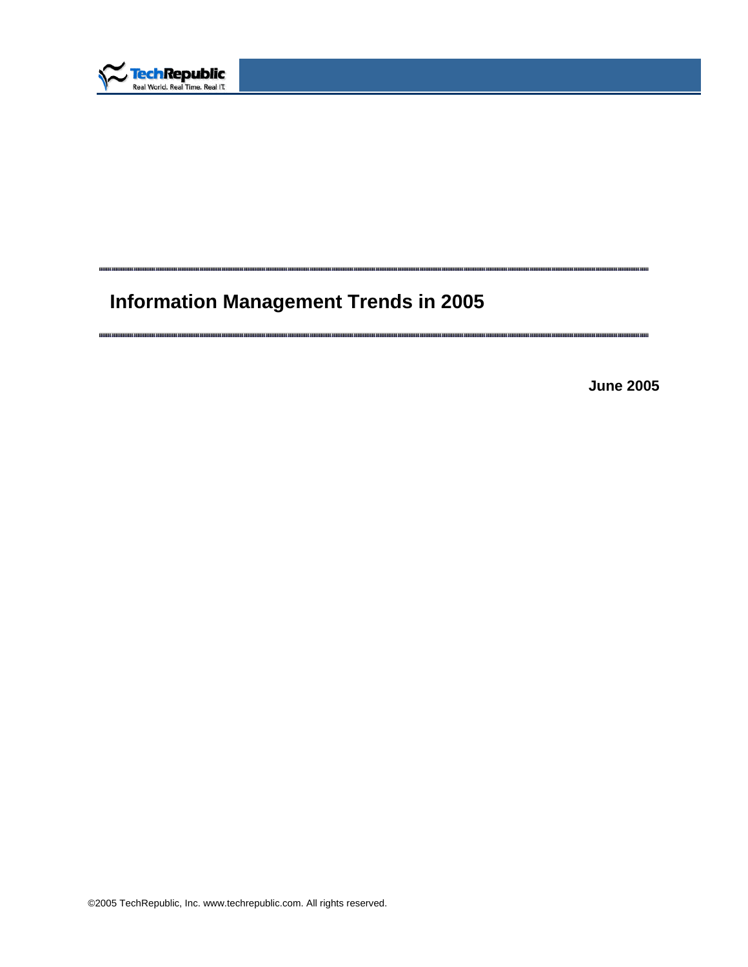

# **Information Management Trends in 2005**

m ar manana manana manana manana man <u>n nni</u> mmun m

....... шиш

**June 2005** 

inin binding binding binding binding binding binding binding binding binding binding binding binding binding bi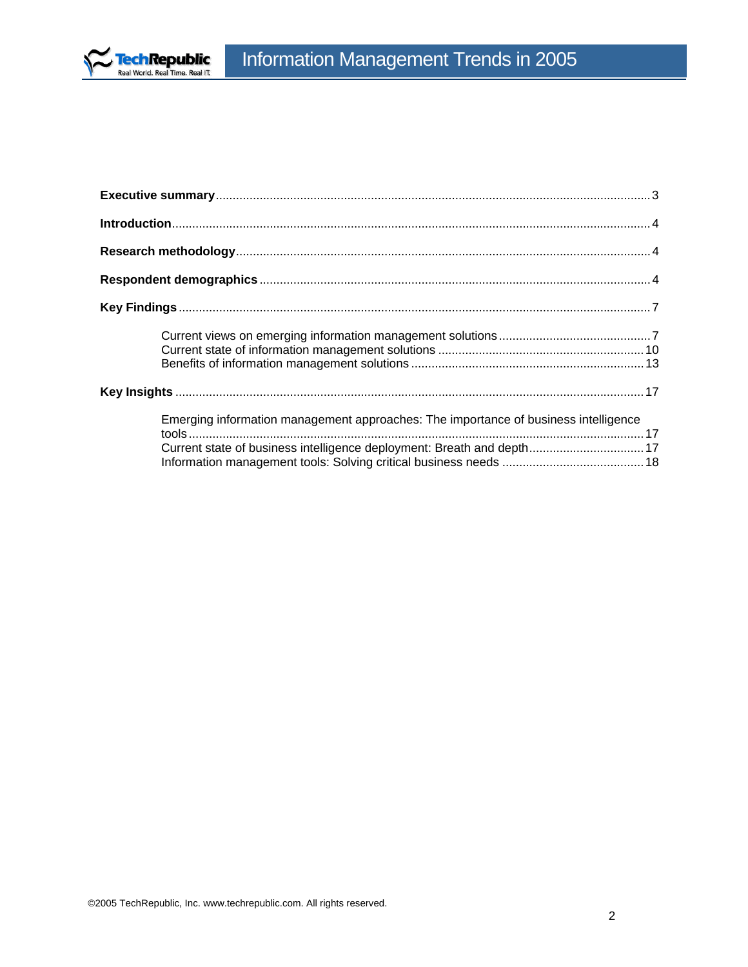

| Emerging information management approaches: The importance of business intelligence<br>Current state of business intelligence deployment: Breath and depth 17 |  |
|---------------------------------------------------------------------------------------------------------------------------------------------------------------|--|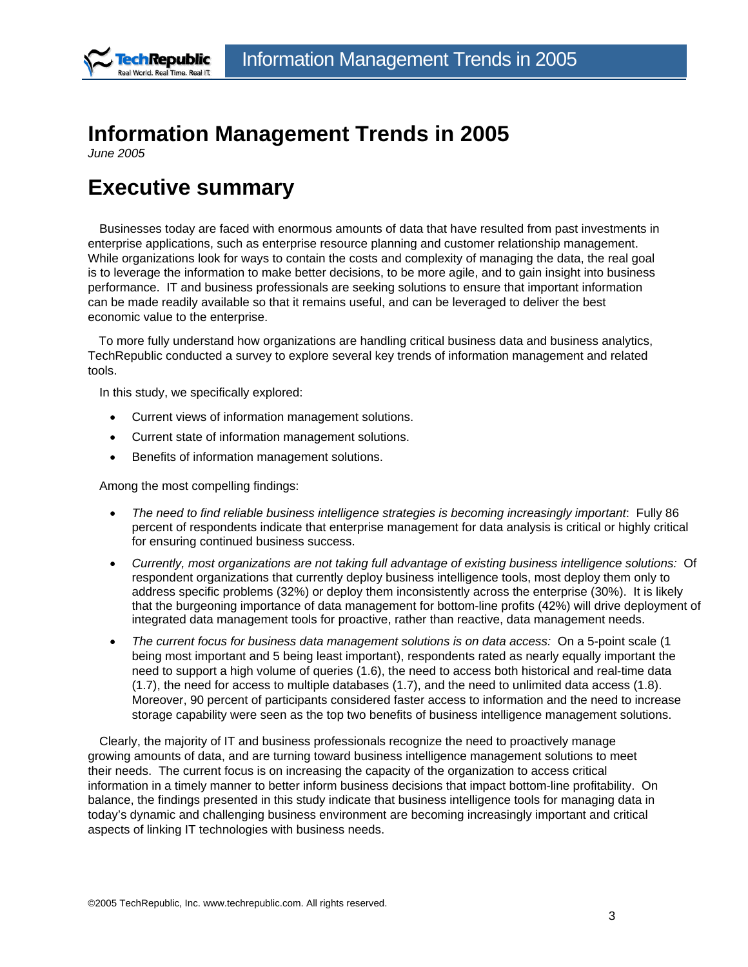<span id="page-2-0"></span>

## **Information Management Trends in 2005**

*June 2005* 

## **Executive summary**

Businesses today are faced with enormous amounts of data that have resulted from past investments in enterprise applications, such as enterprise resource planning and customer relationship management. While organizations look for ways to contain the costs and complexity of managing the data, the real goal is to leverage the information to make better decisions, to be more agile, and to gain insight into business performance. IT and business professionals are seeking solutions to ensure that important information can be made readily available so that it remains useful, and can be leveraged to deliver the best economic value to the enterprise.

To more fully understand how organizations are handling critical business data and business analytics, TechRepublic conducted a survey to explore several key trends of information management and related tools.

In this study, we specifically explored:

- Current views of information management solutions.
- Current state of information management solutions.
- Benefits of information management solutions.

Among the most compelling findings:

- *The need to find reliable business intelligence strategies is becoming increasingly important*: Fully 86 percent of respondents indicate that enterprise management for data analysis is critical or highly critical for ensuring continued business success.
- *Currently, most organizations are not taking full advantage of existing business intelligence solutions:* Of respondent organizations that currently deploy business intelligence tools, most deploy them only to address specific problems (32%) or deploy them inconsistently across the enterprise (30%). It is likely that the burgeoning importance of data management for bottom-line profits (42%) will drive deployment of integrated data management tools for proactive, rather than reactive, data management needs.
- *The current focus for business data management solutions is on data access:* On a 5-point scale (1 being most important and 5 being least important), respondents rated as nearly equally important the need to support a high volume of queries (1.6), the need to access both historical and real-time data (1.7), the need for access to multiple databases (1.7), and the need to unlimited data access (1.8). Moreover, 90 percent of participants considered faster access to information and the need to increase storage capability were seen as the top two benefits of business intelligence management solutions.

Clearly, the majority of IT and business professionals recognize the need to proactively manage growing amounts of data, and are turning toward business intelligence management solutions to meet their needs. The current focus is on increasing the capacity of the organization to access critical information in a timely manner to better inform business decisions that impact bottom-line profitability. On balance, the findings presented in this study indicate that business intelligence tools for managing data in today's dynamic and challenging business environment are becoming increasingly important and critical aspects of linking IT technologies with business needs.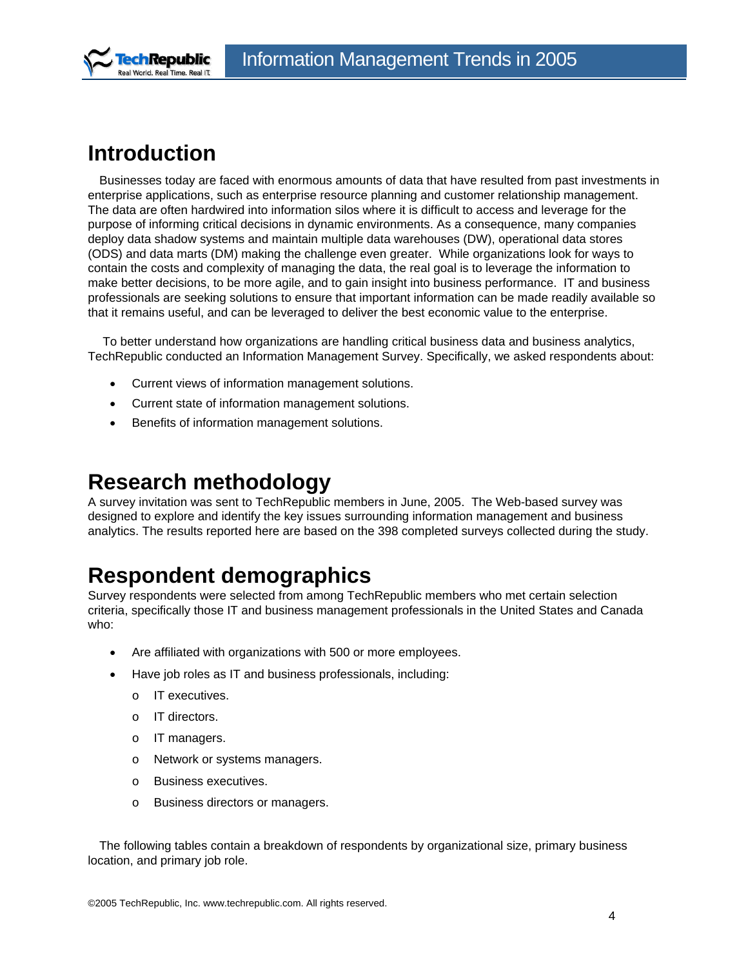<span id="page-3-0"></span>

## **Introduction**

Businesses today are faced with enormous amounts of data that have resulted from past investments in enterprise applications, such as enterprise resource planning and customer relationship management. The data are often hardwired into information silos where it is difficult to access and leverage for the purpose of informing critical decisions in dynamic environments. As a consequence, many companies deploy data shadow systems and maintain multiple data warehouses (DW), operational data stores (ODS) and data marts (DM) making the challenge even greater. While organizations look for ways to contain the costs and complexity of managing the data, the real goal is to leverage the information to make better decisions, to be more agile, and to gain insight into business performance. IT and business professionals are seeking solutions to ensure that important information can be made readily available so that it remains useful, and can be leveraged to deliver the best economic value to the enterprise.

 To better understand how organizations are handling critical business data and business analytics, TechRepublic conducted an Information Management Survey. Specifically, we asked respondents about:

- Current views of information management solutions.
- Current state of information management solutions.
- Benefits of information management solutions.

### **Research methodology**

A survey invitation was sent to TechRepublic members in June, 2005. The Web-based survey was designed to explore and identify the key issues surrounding information management and business analytics. The results reported here are based on the 398 completed surveys collected during the study.

## **Respondent demographics**

Survey respondents were selected from among TechRepublic members who met certain selection criteria, specifically those IT and business management professionals in the United States and Canada who:

- Are affiliated with organizations with 500 or more employees.
- Have job roles as IT and business professionals, including:
	- o IT executives.
	- o IT directors.
	- o IT managers.
	- o Network or systems managers.
	- o Business executives.
	- o Business directors or managers.

The following tables contain a breakdown of respondents by organizational size, primary business location, and primary job role.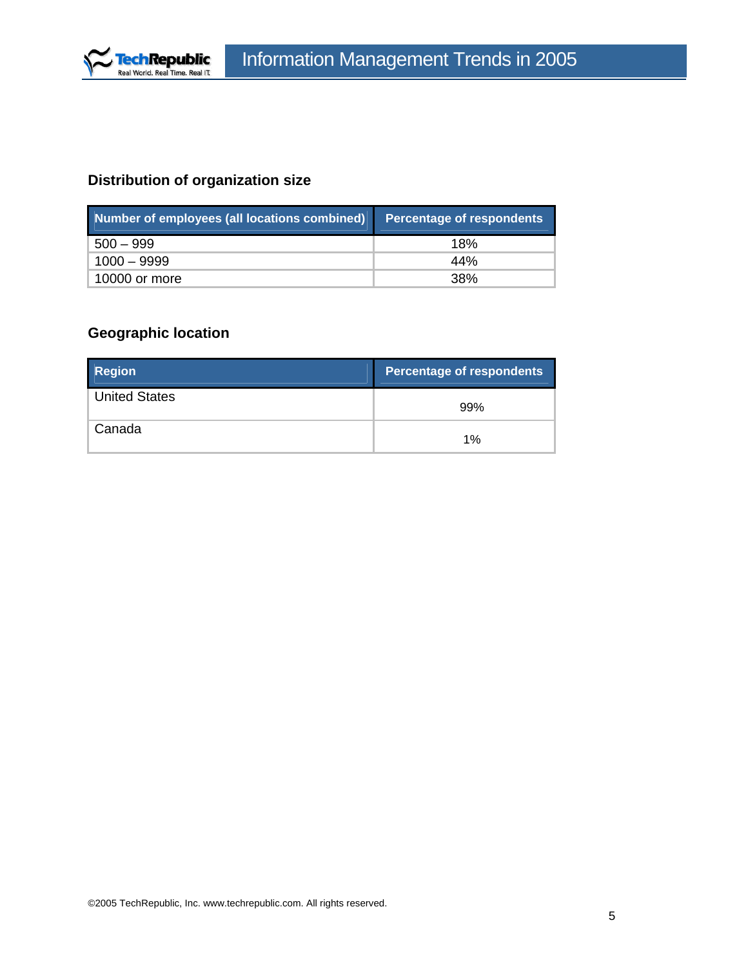

### **Distribution of organization size**

| Number of employees (all locations combined) | <b>Percentage of respondents</b> |
|----------------------------------------------|----------------------------------|
| $500 - 999$                                  | 18%                              |
| $1000 - 9999$                                | 44%                              |
| 10000 or more                                | .38%                             |

### **Geographic location**

| <b>Region</b>        | <b>Percentage of respondents</b> |
|----------------------|----------------------------------|
| <b>United States</b> | 99%                              |
| Canada               | 1%                               |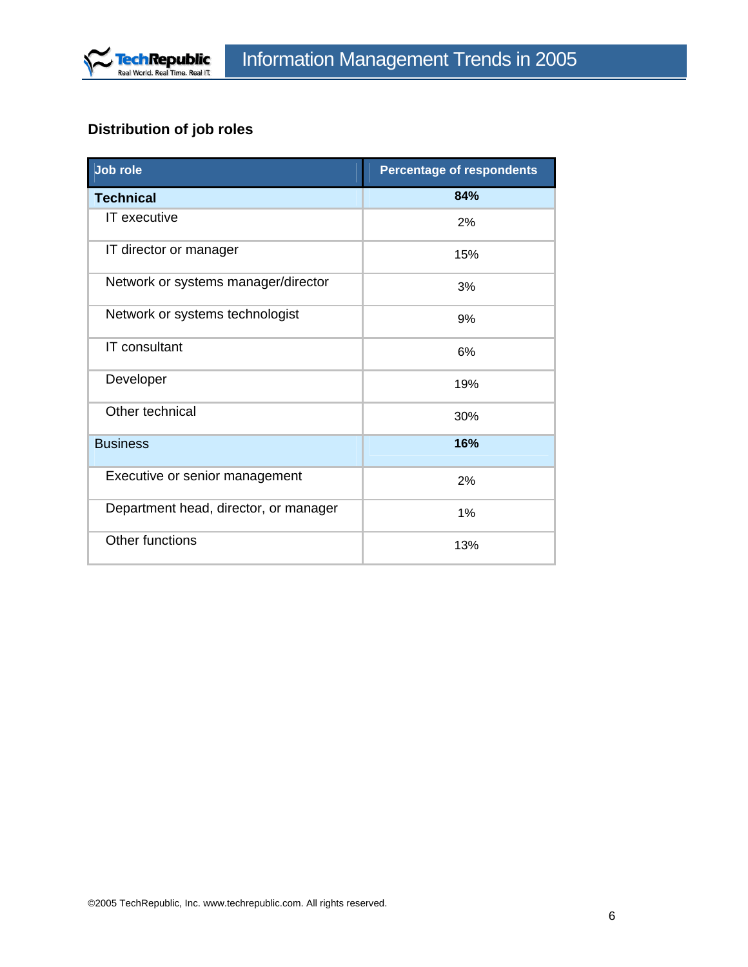

## **Distribution of job roles**

| <b>Job role</b>                       | <b>Percentage of respondents</b> |
|---------------------------------------|----------------------------------|
| <b>Technical</b>                      | 84%                              |
| IT executive                          | 2%                               |
| IT director or manager                | 15%                              |
| Network or systems manager/director   | 3%                               |
| Network or systems technologist       | 9%                               |
| <b>IT</b> consultant                  | 6%                               |
| Developer                             | 19%                              |
| Other technical                       | 30%                              |
| <b>Business</b>                       | 16%                              |
| Executive or senior management        | 2%                               |
| Department head, director, or manager | 1%                               |
| Other functions                       | 13%                              |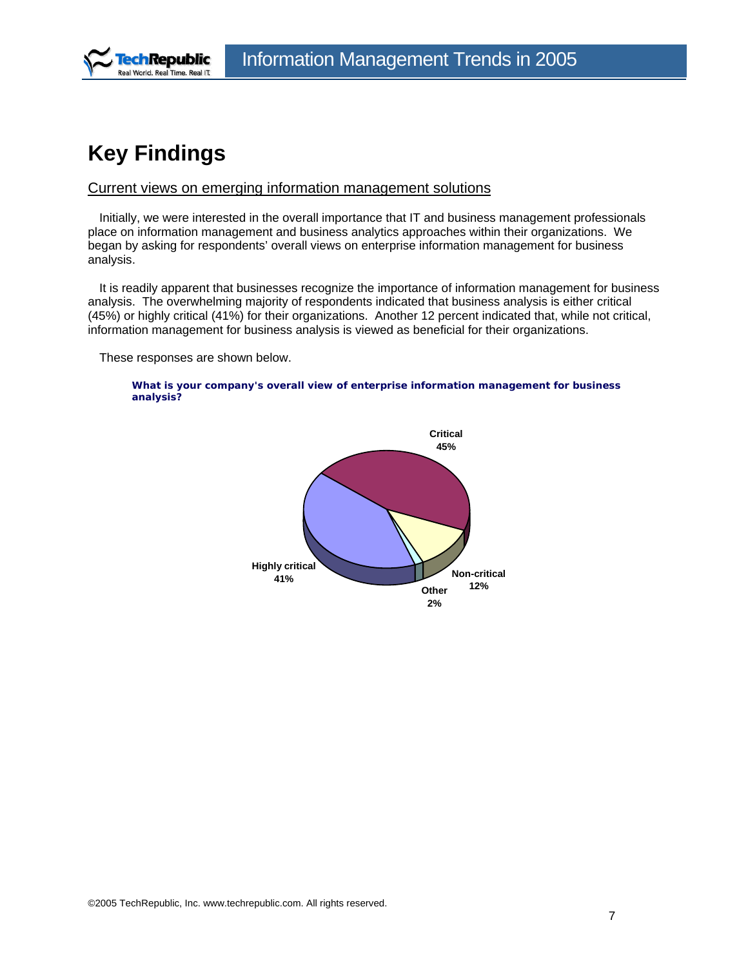<span id="page-6-0"></span>

## **Key Findings**

### Current views on emerging information management solutions

Initially, we were interested in the overall importance that IT and business management professionals place on information management and business analytics approaches within their organizations. We began by asking for respondents' overall views on enterprise information management for business analysis.

It is readily apparent that businesses recognize the importance of information management for business analysis. The overwhelming majority of respondents indicated that business analysis is either critical (45%) or highly critical (41%) for their organizations. Another 12 percent indicated that, while not critical, information management for business analysis is viewed as beneficial for their organizations.

These responses are shown below.



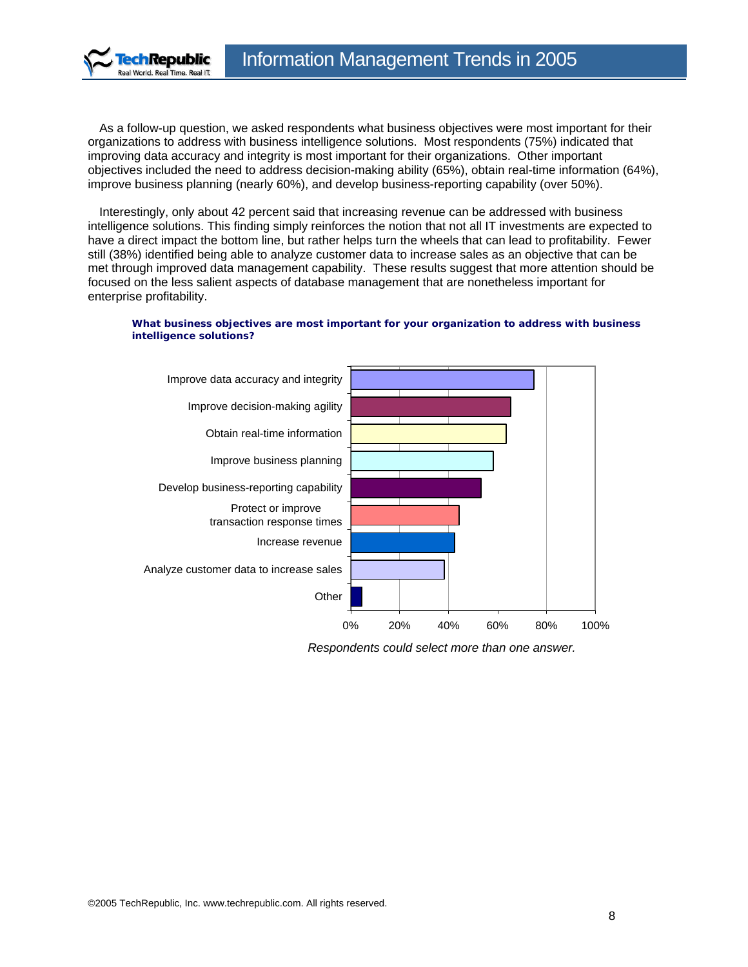

As a follow-up question, we asked respondents what business objectives were most important for their organizations to address with business intelligence solutions. Most respondents (75%) indicated that improving data accuracy and integrity is most important for their organizations. Other important objectives included the need to address decision-making ability (65%), obtain real-time information (64%), improve business planning (nearly 60%), and develop business-reporting capability (over 50%).

Interestingly, only about 42 percent said that increasing revenue can be addressed with business intelligence solutions. This finding simply reinforces the notion that not all IT investments are expected to have a direct impact the bottom line, but rather helps turn the wheels that can lead to profitability. Fewer still (38%) identified being able to analyze customer data to increase sales as an objective that can be met through improved data management capability. These results suggest that more attention should be focused on the less salient aspects of database management that are nonetheless important for enterprise profitability.

#### **What business objectives are most important for your organization to address with business intelligence solutions?**



*Respondents could select more than one answer.*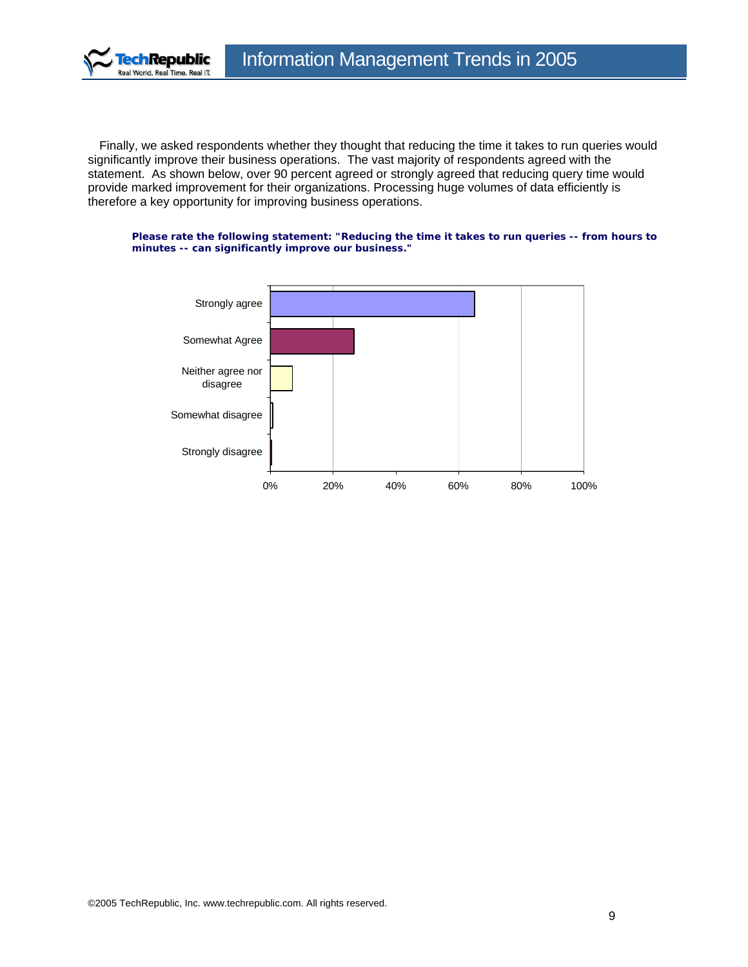

Finally, we asked respondents whether they thought that reducing the time it takes to run queries would significantly improve their business operations. The vast majority of respondents agreed with the statement. As shown below, over 90 percent agreed or strongly agreed that reducing query time would provide marked improvement for their organizations. Processing huge volumes of data efficiently is therefore a key opportunity for improving business operations.

#### **Please rate the following statement: "Reducing the time it takes to run queries -- from hours to minutes -- can significantly improve our business."**

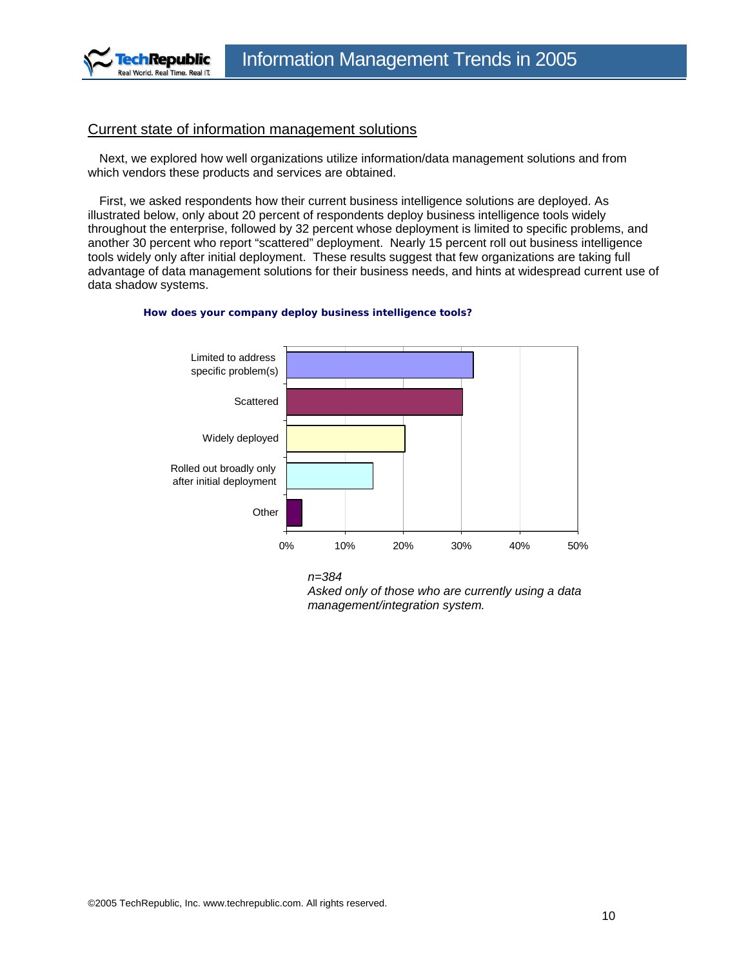<span id="page-9-0"></span>

### Current state of information management solutions

Next, we explored how well organizations utilize information/data management solutions and from which vendors these products and services are obtained.

First, we asked respondents how their current business intelligence solutions are deployed. As illustrated below, only about 20 percent of respondents deploy business intelligence tools widely throughout the enterprise, followed by 32 percent whose deployment is limited to specific problems, and another 30 percent who report "scattered" deployment. Nearly 15 percent roll out business intelligence tools widely only after initial deployment. These results suggest that few organizations are taking full advantage of data management solutions for their business needs, and hints at widespread current use of data shadow systems.



#### **How does your company deploy business intelligence tools?**



*Asked only of those who are currently using a data management/integration system.*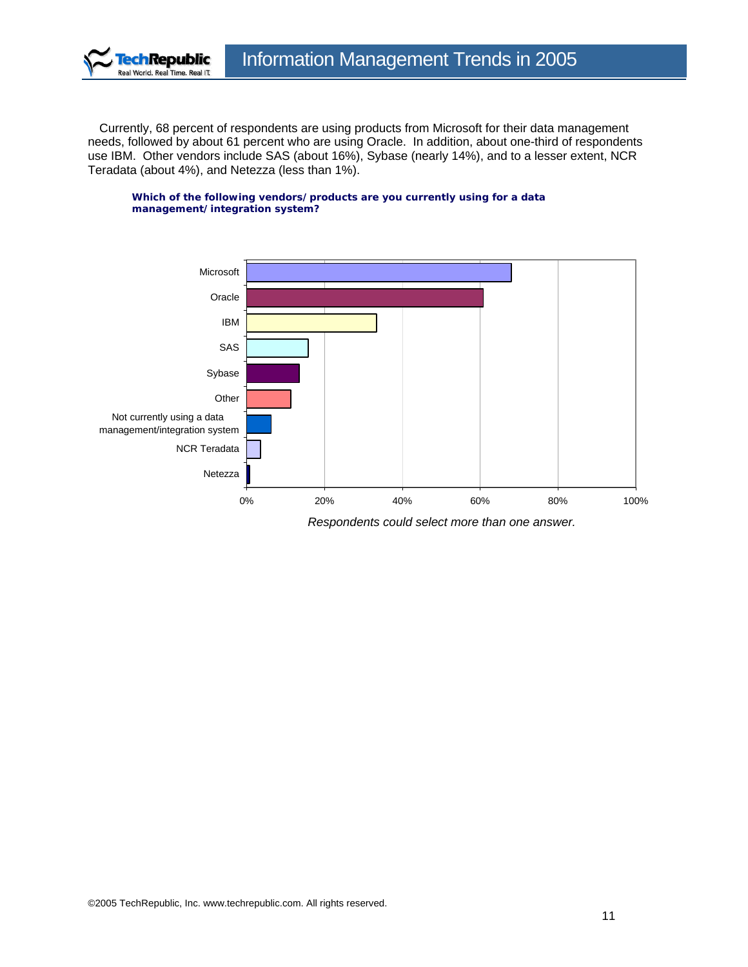

Currently, 68 percent of respondents are using products from Microsoft for their data management needs, followed by about 61 percent who are using Oracle. In addition, about one-third of respondents use IBM. Other vendors include SAS (about 16%), Sybase (nearly 14%), and to a lesser extent, NCR Teradata (about 4%), and Netezza (less than 1%).

**Which of the following vendors/products are you currently using for a data management/integration system?**

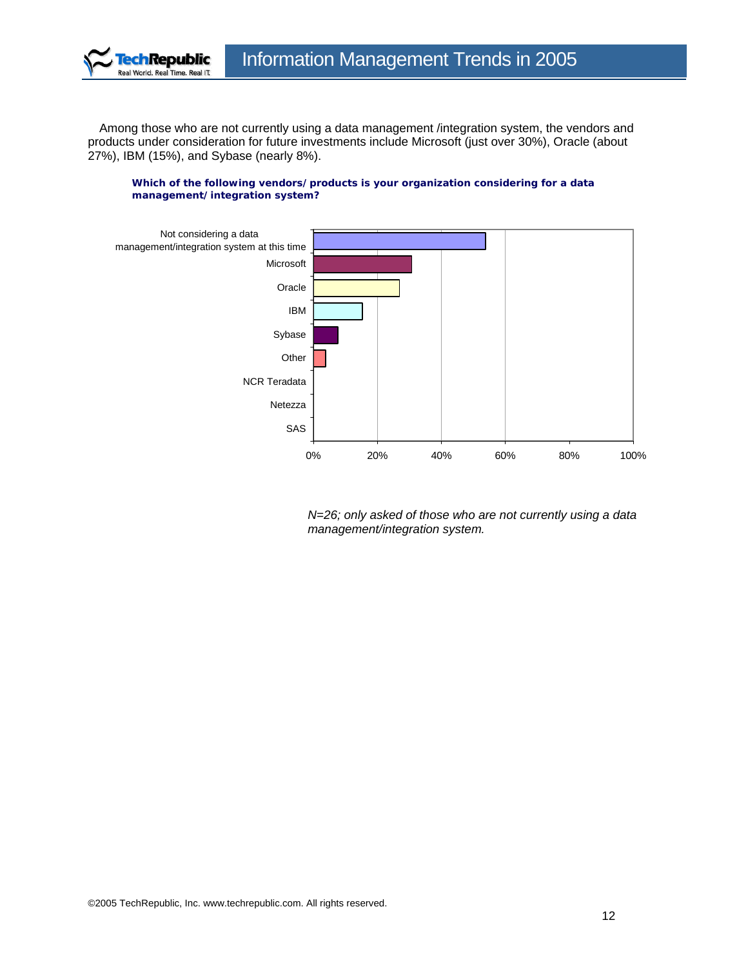

Among those who are not currently using a data management /integration system, the vendors and products under consideration for future investments include Microsoft (just over 30%), Oracle (about 27%), IBM (15%), and Sybase (nearly 8%).

#### **Which of the following vendors/products is your organization considering for a data management/integration system?**



*N=26; only asked of those who are not currently using a data management/integration system.*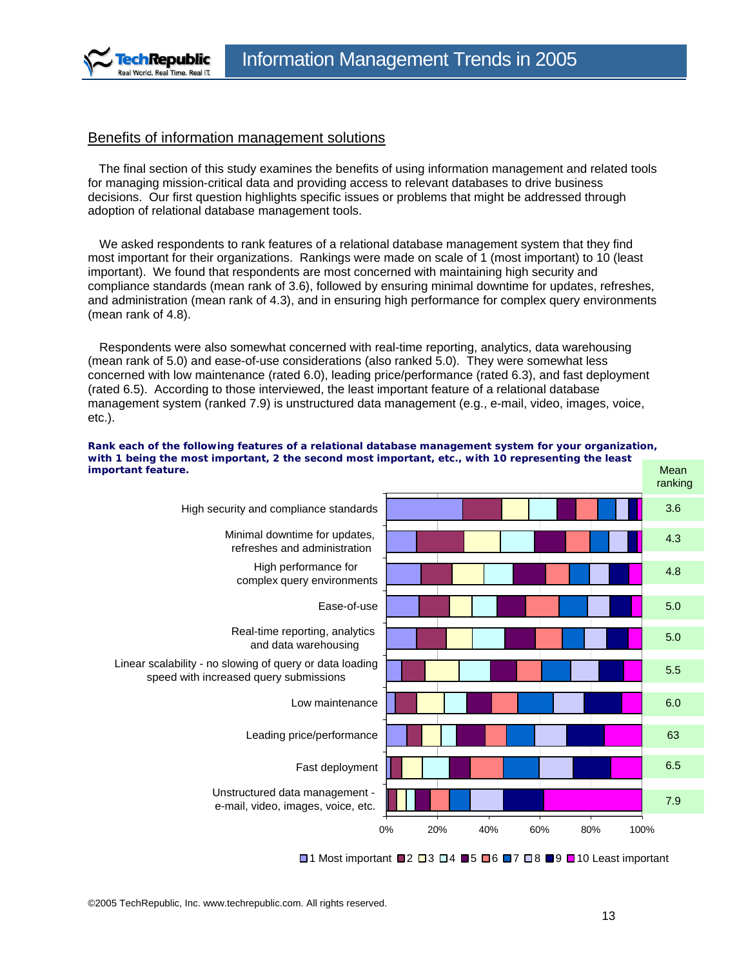<span id="page-12-0"></span>

### Benefits of information management solutions

The final section of this study examines the benefits of using information management and related tools for managing mission-critical data and providing access to relevant databases to drive business decisions. Our first question highlights specific issues or problems that might be addressed through adoption of relational database management tools.

We asked respondents to rank features of a relational database management system that they find most important for their organizations. Rankings were made on scale of 1 (most important) to 10 (least important). We found that respondents are most concerned with maintaining high security and compliance standards (mean rank of 3.6), followed by ensuring minimal downtime for updates, refreshes, and administration (mean rank of 4.3), and in ensuring high performance for complex query environments (mean rank of 4.8).

Respondents were also somewhat concerned with real-time reporting, analytics, data warehousing (mean rank of 5.0) and ease-of-use considerations (also ranked 5.0). They were somewhat less concerned with low maintenance (rated 6.0), leading price/performance (rated 6.3), and fast deployment (rated 6.5). According to those interviewed, the least important feature of a relational database management system (ranked 7.9) is unstructured data management (e.g., e-mail, video, images, voice, etc.).



**Rank each of the following features of a relational database management system for your organization, with 1 being the most important, 2 the second most important, etc., with 10 representing the least** 

 $\Box$ 1 Most important  $\Box$ 2  $\Box$ 3  $\Box$ 4  $\Box$ 5  $\Box$ 6  $\Box$ 7  $\Box$ 8  $\Box$ 9  $\Box$ 10 Least important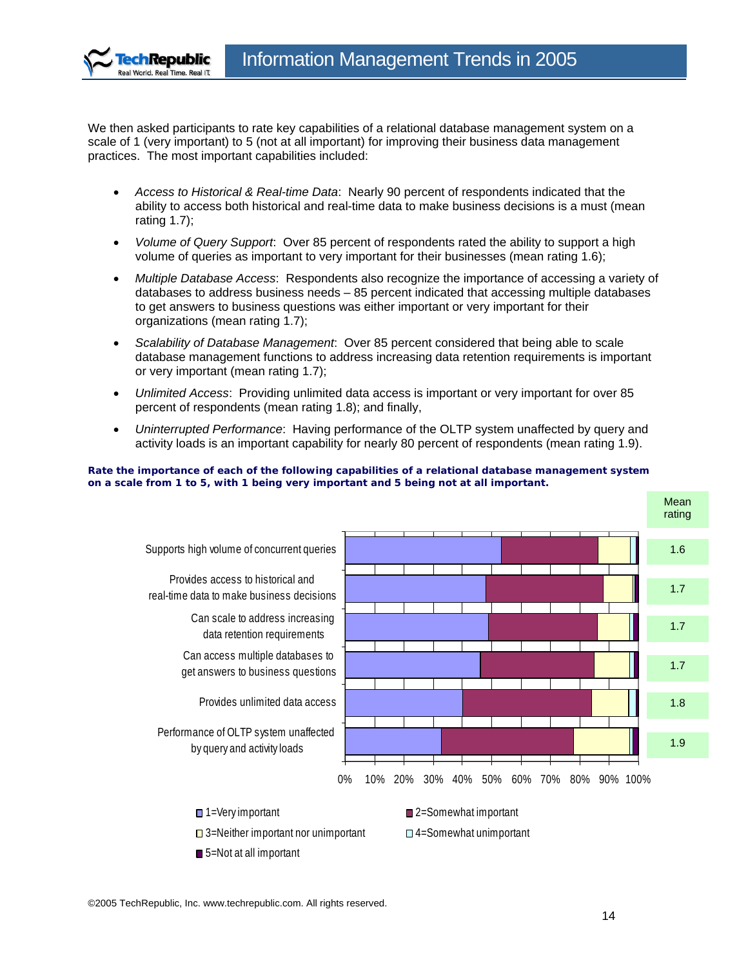

We then asked participants to rate key capabilities of a relational database management system on a scale of 1 (very important) to 5 (not at all important) for improving their business data management practices. The most important capabilities included:

- *Access to Historical & Real-time Data*: Nearly 90 percent of respondents indicated that the ability to access both historical and real-time data to make business decisions is a must (mean rating 1.7);
- *Volume of Query Support*: Over 85 percent of respondents rated the ability to support a high volume of queries as important to very important for their businesses (mean rating 1.6);
- *Multiple Database Access*: Respondents also recognize the importance of accessing a variety of databases to address business needs – 85 percent indicated that accessing multiple databases to get answers to business questions was either important or very important for their organizations (mean rating 1.7);
- *Scalability of Database Management*: Over 85 percent considered that being able to scale database management functions to address increasing data retention requirements is important or very important (mean rating 1.7);
- *Unlimited Access*: Providing unlimited data access is important or very important for over 85 percent of respondents (mean rating 1.8); and finally,
- *Uninterrupted Performance*: Having performance of the OLTP system unaffected by query and activity loads is an important capability for nearly 80 percent of respondents (mean rating 1.9).

#### **Rate the importance of each of the following capabilities of a relational database management system on a scale from 1 to 5, with 1 being very important and 5 being not at all important.**

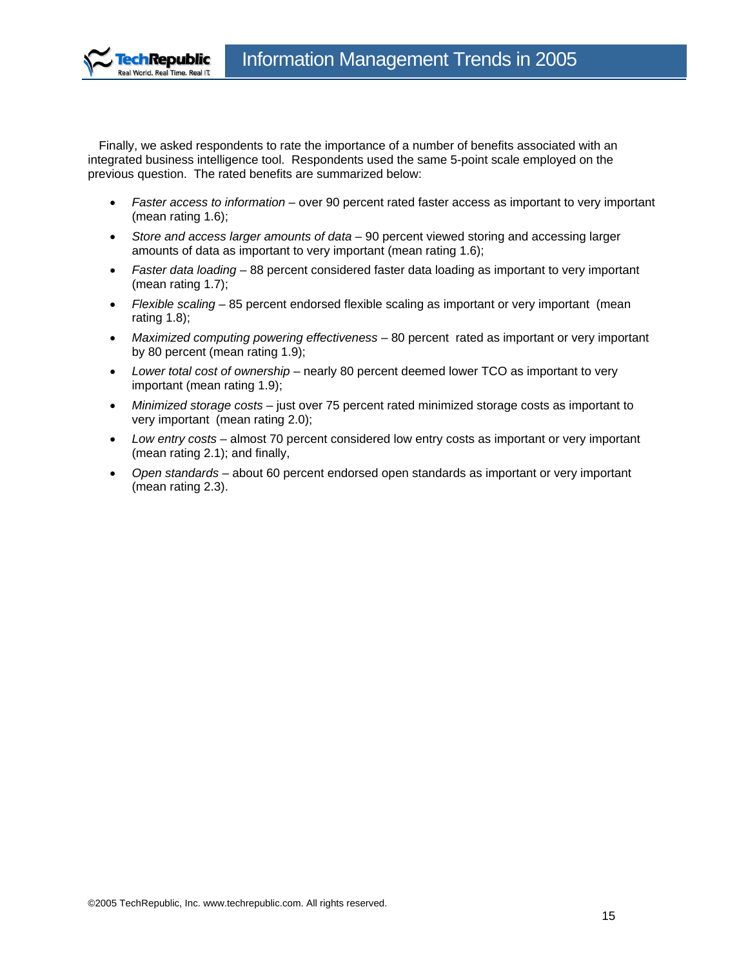

Finally, we asked respondents to rate the importance of a number of benefits associated with an integrated business intelligence tool. Respondents used the same 5-point scale employed on the previous question. The rated benefits are summarized below:

- *Faster access to information* over 90 percent rated faster access as important to very important (mean rating 1.6);
- *Store and access larger amounts of data* 90 percent viewed storing and accessing larger amounts of data as important to very important (mean rating 1.6);
- *Faster data loading* 88 percent considered faster data loading as important to very important (mean rating 1.7);
- *Flexible scaling* 85 percent endorsed flexible scaling as important or very important (mean rating 1.8);
- *Maximized computing powering effectiveness* 80 percent rated as important or very important by 80 percent (mean rating 1.9);
- *Lower total cost of ownership* nearly 80 percent deemed lower TCO as important to very important (mean rating 1.9);
- *Minimized storage costs* just over 75 percent rated minimized storage costs as important to very important (mean rating 2.0);
- *Low entry costs* almost 70 percent considered low entry costs as important or very important (mean rating 2.1); and finally,
- *Open standards* about 60 percent endorsed open standards as important or very important (mean rating 2.3).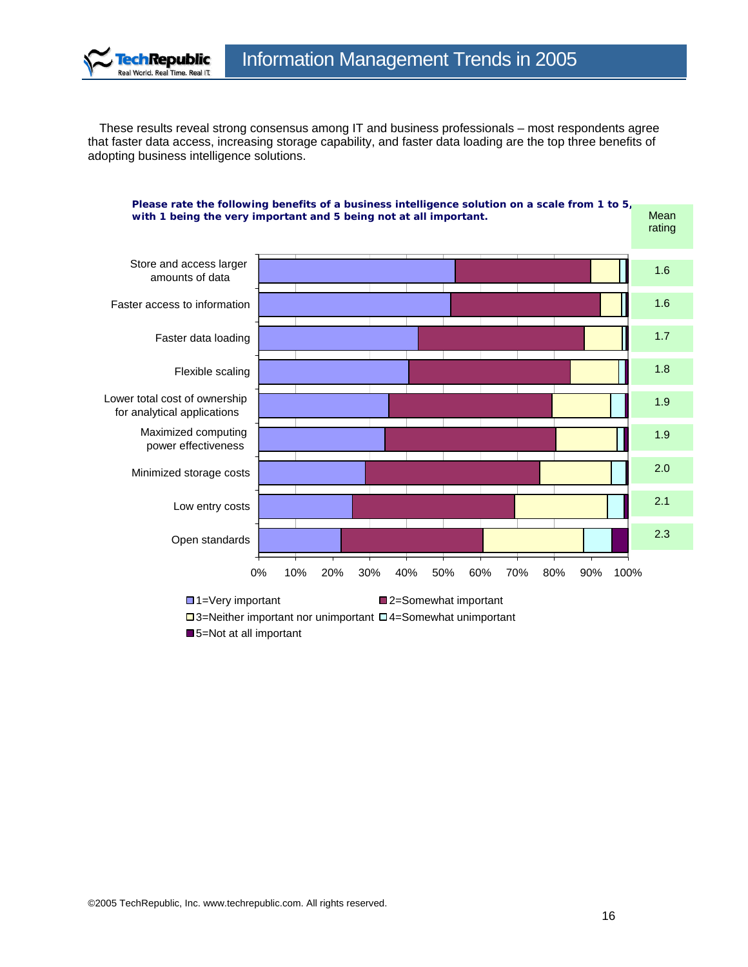

These results reveal strong consensus among IT and business professionals – most respondents agree that faster data access, increasing storage capability, and faster data loading are the top three benefits of adopting business intelligence solutions.



□ 3=Neither important nor unimportant □ 4=Somewhat unimportant

■5=Not at all important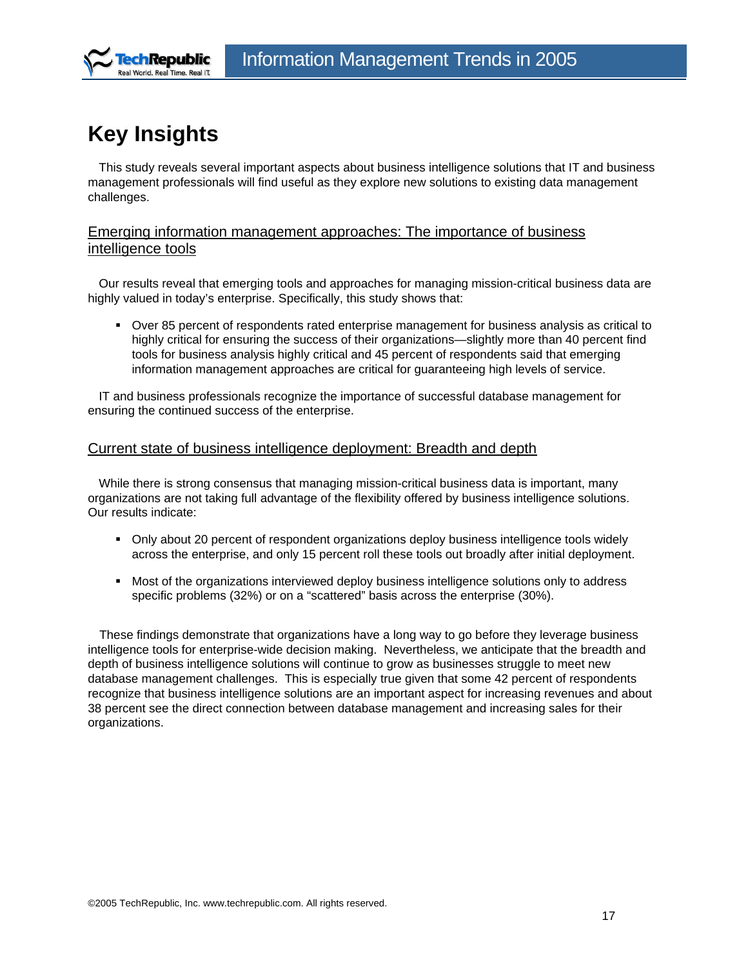<span id="page-16-0"></span>

# **Key Insights**

This study reveals several important aspects about business intelligence solutions that IT and business management professionals will find useful as they explore new solutions to existing data management challenges.

### Emerging information management approaches: The importance of business intelligence tools

Our results reveal that emerging tools and approaches for managing mission-critical business data are highly valued in today's enterprise. Specifically, this study shows that:

 Over 85 percent of respondents rated enterprise management for business analysis as critical to highly critical for ensuring the success of their organizations—slightly more than 40 percent find tools for business analysis highly critical and 45 percent of respondents said that emerging information management approaches are critical for guaranteeing high levels of service.

IT and business professionals recognize the importance of successful database management for ensuring the continued success of the enterprise.

### Current state of business intelligence deployment: Breadth and depth

While there is strong consensus that managing mission-critical business data is important, many organizations are not taking full advantage of the flexibility offered by business intelligence solutions. Our results indicate:

- Only about 20 percent of respondent organizations deploy business intelligence tools widely across the enterprise, and only 15 percent roll these tools out broadly after initial deployment.
- **Most of the organizations interviewed deploy business intelligence solutions only to address** specific problems (32%) or on a "scattered" basis across the enterprise (30%).

These findings demonstrate that organizations have a long way to go before they leverage business intelligence tools for enterprise-wide decision making. Nevertheless, we anticipate that the breadth and depth of business intelligence solutions will continue to grow as businesses struggle to meet new database management challenges. This is especially true given that some 42 percent of respondents recognize that business intelligence solutions are an important aspect for increasing revenues and about 38 percent see the direct connection between database management and increasing sales for their organizations.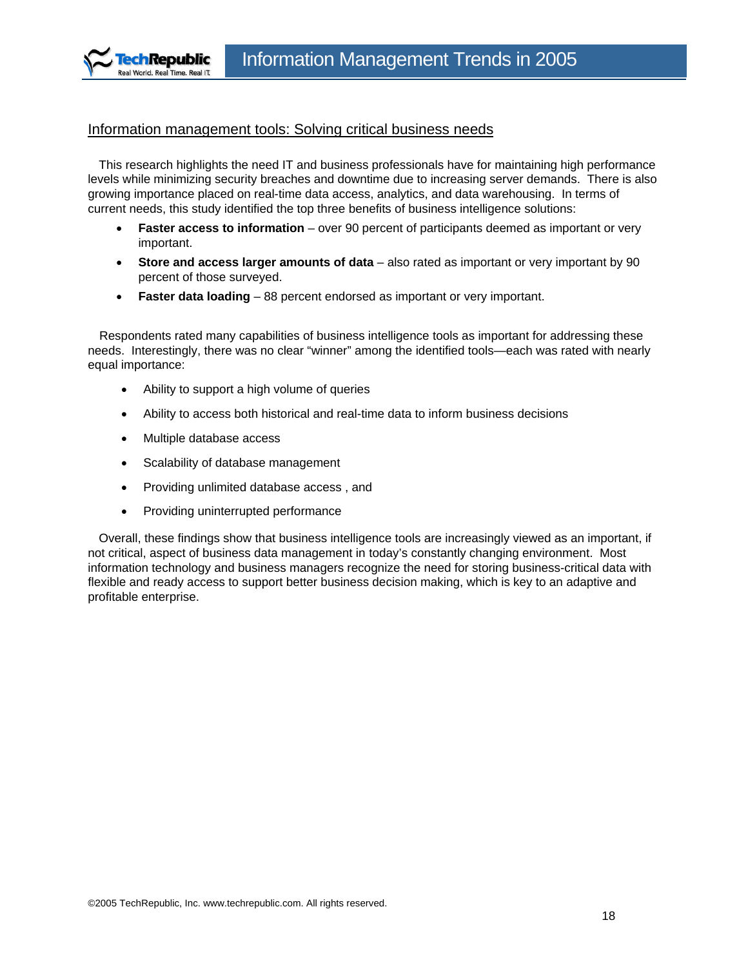<span id="page-17-0"></span>

### Information management tools: Solving critical business needs

This research highlights the need IT and business professionals have for maintaining high performance levels while minimizing security breaches and downtime due to increasing server demands. There is also growing importance placed on real-time data access, analytics, and data warehousing. In terms of current needs, this study identified the top three benefits of business intelligence solutions:

- **Faster access to information** over 90 percent of participants deemed as important or very important.
- **Store and access larger amounts of data** also rated as important or very important by 90 percent of those surveyed.
- **Faster data loading** 88 percent endorsed as important or very important.

Respondents rated many capabilities of business intelligence tools as important for addressing these needs. Interestingly, there was no clear "winner" among the identified tools—each was rated with nearly equal importance:

- Ability to support a high volume of queries
- Ability to access both historical and real-time data to inform business decisions
- Multiple database access
- Scalability of database management
- Providing unlimited database access , and
- Providing uninterrupted performance

Overall, these findings show that business intelligence tools are increasingly viewed as an important, if not critical, aspect of business data management in today's constantly changing environment. Most information technology and business managers recognize the need for storing business-critical data with flexible and ready access to support better business decision making, which is key to an adaptive and profitable enterprise.